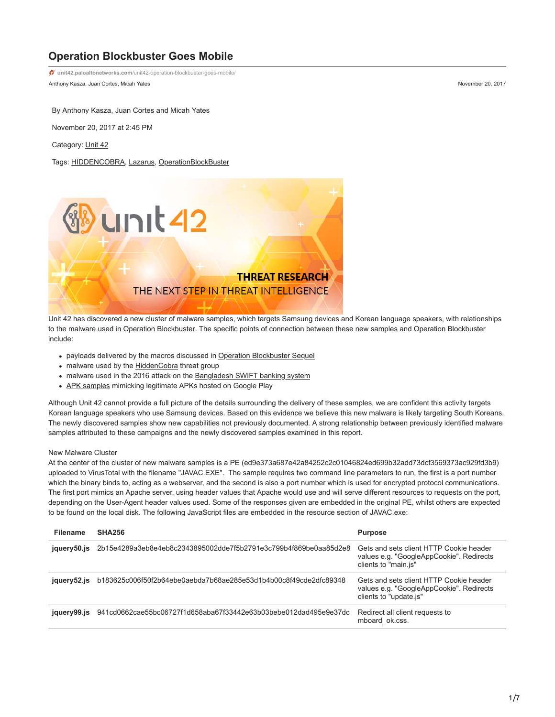# **Operation Blockbuster Goes Mobile**

Anthony Kasza, Juan Cortes, Micah Yates November 20, 2017 **unit42.paloaltonetworks.com**[/unit42-operation-blockbuster-goes-mobile/](https://unit42.paloaltonetworks.com/unit42-operation-blockbuster-goes-mobile/)

By [Anthony Kasza](https://unit42.paloaltonetworks.com/author/anthony-kasza/), [Juan Cortes](https://unit42.paloaltonetworks.com/author/juan-cortes/) and [Micah Yates](https://unit42.paloaltonetworks.com/author/micah-yates/)

November 20, 2017 at 2:45 PM

Category: [Unit 42](https://unit42.paloaltonetworks.com/category/unit42/)

Tags: [HIDDENCOBRA,](https://unit42.paloaltonetworks.com/tag/hiddencobra/) [Lazarus](https://unit42.paloaltonetworks.com/tag/lazarus/), [OperationBlockBuster](https://unit42.paloaltonetworks.com/tag/operationblockbuster/)



Unit 42 has discovered a new cluster of malware samples, which targets Samsung devices and Korean language speakers, with relationships to the malware used in [Operation Blockbuster](https://www.operationblockbuster.com/wp-content/uploads/2016/02/Operation-Blockbuster-Report.pdf). The specific points of connection between these new samples and Operation Blockbuster include:

- payloads delivered by the macros discussed in [Operation Blockbuster Sequel](https://blog.paloaltonetworks.com/2017/04/unit42-the-blockbuster-sequel/)
- malware used by the [HiddenCobra](https://www.us-cert.gov/ncas/alerts/TA17-164A) threat group
- malware used in the 2016 attack on the [Bangladesh SWIFT banking system](http://baesystemsai.blogspot.jp/2016/05/cyber-heist-attribution.html)
- [APK samples](https://securingtomorrow.mcafee.com/mcafee-labs/android-malware-appears-linked-to-lazarus-cybercrime-group) mimicking legitimate APKs hosted on Google Play

Although Unit 42 cannot provide a full picture of the details surrounding the delivery of these samples, we are confident this activity targets Korean language speakers who use Samsung devices. Based on this evidence we believe this new malware is likely targeting South Koreans. The newly discovered samples show new capabilities not previously documented. A strong relationship between previously identified malware samples attributed to these campaigns and the newly discovered samples examined in this report.

#### New Malware Cluster

At the center of the cluster of new malware samples is a PE (ed9e373a687e42a84252c2c01046824ed699b32add73dcf3569373ac929fd3b9) uploaded to VirusTotal with the filename "JAVAC.EXE". The sample requires two command line parameters to run, the first is a port number which the binary binds to, acting as a webserver, and the second is also a port number which is used for encrypted protocol communications. The first port mimics an Apache server, using header values that Apache would use and will serve different resources to requests on the port, depending on the User-Agent header values used. Some of the responses given are embedded in the original PE, whilst others are expected to be found on the local disk. The following JavaScript files are embedded in the resource section of JAVAC.exe:

| <b>Filename</b> | <b>SHA256</b>                                                    | <b>Purpose</b>                                                                                                |
|-----------------|------------------------------------------------------------------|---------------------------------------------------------------------------------------------------------------|
| jquery50.js     | 2b15e4289a3eb8e4eb8c2343895002dde7f5b2791e3c799b4f869be0aa85d2e8 | Gets and sets client HTTP Cookie header<br>values e.g. "GoogleAppCookie". Redirects<br>clients to "main.js"   |
| jquery52.js     | b183625c006f50f2b64ebe0aebda7b68ae285e53d1b4b00c8f49cde2dfc89348 | Gets and sets client HTTP Cookie header<br>values e.g. "GoogleAppCookie". Redirects<br>clients to "update is" |
| jquery99.js     | 941cd0662cae55bc06727f1d658aba67f33442e63b03bebe012dad495e9e37dc | Redirect all client requests to<br>mboard ok.css.                                                             |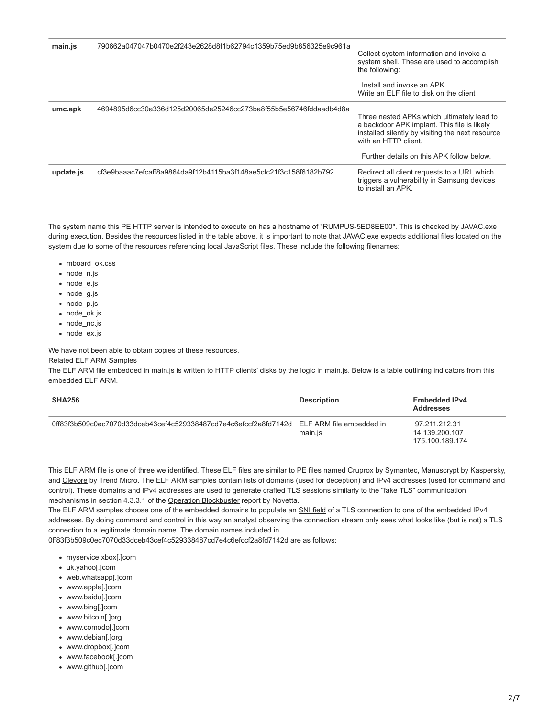| main.js   | 790662a047047b0470e2f243e2628d8f1b62794c1359b75ed9b856325e9c961a | Collect system information and invoke a<br>system shell. These are used to accomplish<br>the following:<br>Install and invoke an APK<br>Write an ELF file to disk on the client                                    |
|-----------|------------------------------------------------------------------|--------------------------------------------------------------------------------------------------------------------------------------------------------------------------------------------------------------------|
| umc.apk   | 4694895d6cc30a336d125d20065de25246cc273ba8f55b5e56746fddaadb4d8a | Three nested APKs which ultimately lead to<br>a backdoor APK implant. This file is likely<br>installed silently by visiting the next resource<br>with an HTTP client.<br>Further details on this APK follow below. |
| update.js | cf3e9baaac7efcaff8a9864da9f12b4115ba3f148ae5cfc21f3c158f6182b792 | Redirect all client requests to a URL which<br>triggers a vulnerability in Samsung devices<br>to install an APK.                                                                                                   |

The system name this PE HTTP server is intended to execute on has a hostname of "RUMPUS-5ED8EE00". This is checked by JAVAC.exe during execution. Besides the resources listed in the table above, it is important to note that JAVAC.exe expects additional files located on the system due to some of the resources referencing local JavaScript files. These include the following filenames:

- mboard ok.css
- node\_n.js
- node\_e.js
- node\_g.js
- node\_p.js
- node ok.js
- node\_nc.js
- node\_ex.js

We have not been able to obtain copies of these resources.

Related ELF ARM Samples

The ELF ARM file embedded in main.js is written to HTTP clients' disks by the logic in main.js. Below is a table outlining indicators from this embedded ELF ARM.

| <b>SHA256</b>                                                                            | <b>Description</b> | <b>Embedded IPv4</b><br><b>Addresses</b>           |
|------------------------------------------------------------------------------------------|--------------------|----------------------------------------------------|
| 0ff83f3b509c0ec7070d33dceb43cef4c529338487cd7e4c6efccf2a8fd7142d ELFARM file embedded in | main.js            | 97.211.212.31<br>14.139.200.107<br>175 100 189 174 |

This ELF ARM file is one of three we identified. These ELF files are similar to PE files named [Cruprox](https://www.symantec.com/security_response/writeup.jsp?docid=2017-041002-5341-99) by [Symantec](https://www.symantec.com/connect/blogs/wannacry-ransomware-attacks-show-strong-links-lazarus-group), [Manuscrypt](https://securelist.com/apt-trends-report-q2-2017/79332/) by Kaspersky, and [Clevore](https://www.trendmicro.com/vinfo/us/threat-encyclopedia/malware/troj_clevore.a) by Trend Micro. The ELF ARM samples contain lists of domains (used for deception) and IPv4 addresses (used for command and control). These domains and IPv4 addresses are used to generate crafted TLS sessions similarly to the "fake TLS" communication mechanisms in section 4.3.3.1 of the [Operation Blockbuster](https://www.operationblockbuster.com/wp-content/uploads/2016/02/Operation-Blockbuster-Report.pdf) report by Novetta.

The ELF ARM samples choose one of the embedded domains to populate an [SNI field](https://en.wikipedia.org/wiki/Server_Name_Indication) of a TLS connection to one of the embedded IPv4 addresses. By doing command and control in this way an analyst observing the connection stream only sees what looks like (but is not) a TLS connection to a legitimate domain name. The domain names included in

0ff83f3b509c0ec7070d33dceb43cef4c529338487cd7e4c6efccf2a8fd7142d are as follows:

- myservice.xbox[.]com
- uk.yahoo[.]com
- web.whatsapp[.]com
- www.apple[.]com
- www.baidu[.]com
- www.bing[.]com
- www.bitcoin[.]org
- www.comodo[.]com
- www.debian[.]org
- www.dropbox[.]com
- www.facebook[.]com
- www.github[.]com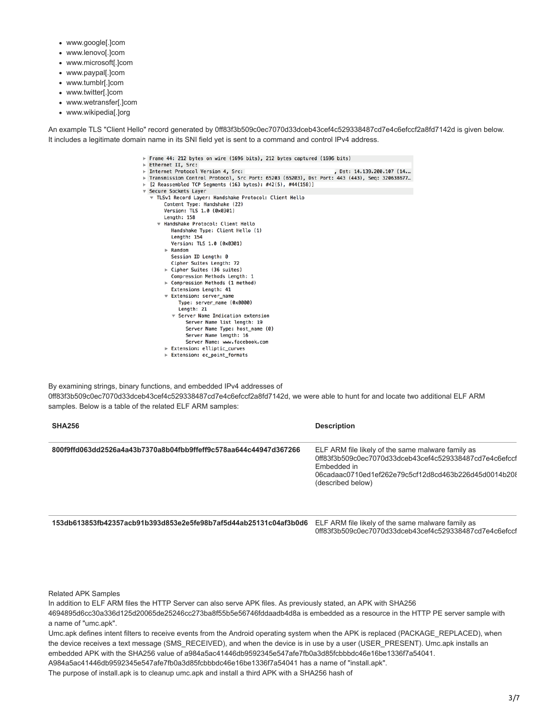- www.google[.]com
- www.lenovo[.]com
- www.microsoft[.]com
- www.paypal[.]com
- www.tumblr[.]com
- www.twitter[.]com
- www.wetransfer[.]com
- www.wikipedia[.]org

An example TLS "Client Hello" record generated by 0ff83f3b509c0ec7070d33dceb43cef4c529338487cd7e4c6efccf2a8fd7142d is given below. It includes a legitimate domain name in its SNI field yet is sent to a command and control IPv4 address.

- Frame 44: 212 bytes on wire (1696 bits), 212 bytes captured (1696 bits)
- Ethernet II, Src:
- ⇒ Ethernet II, Src:<br>⇒ Internet Protocol Version 4, Src:<br>⇒ Transmission Control Protocol, Src Port: 65203 (65203), Dst Port: 443 (443), Seq: 320638677…<br>⇒ [2 Reassembled TCP Segments (163 bytes): #42(5), #44(158)]<br>▼ Secure
- 
- - ▼ TLSv1 Record Layer: Handshake Protocol: Client Hello Content Type: Handshake (22) Version: TLS 1.0 (0x0301) Length: 158 ▼ Handshake Protocol: Client Hello<br>Handshake Type: Client Hello (1) Length: 154
		- Version: TLS 1.0 (0x0301)  $\triangleright$  Random
		- Session ID Length: 0
		- Cipher Suites Length: 72
		- ▶ Cipher Suites (36 suites)
		- Compression Methods Length: 1  $\triangleright$  Compression Methods (1 method)
		- Extensions Length: 41
		- ▼ Extension: server\_name
		- Type: server\_name (0x0000) Length: 21 ▼ Server Name Indication extension Server Name list length: 19 Server Name Type: host\_name (0)
		- Server Name length: 16 Server Name: www.facebook.com
		- Extension: elliptic\_curves
		- Extension: ec\_point\_formats

By examining strings, binary functions, and embedded IPv4 addresses of 0ff83f3b509c0ec7070d33dceb43cef4c529338487cd7e4c6efccf2a8fd7142d, we were able to hunt for and locate two additional ELF ARM samples. Below is a table of the related ELF ARM samples:

| <b>SHA256</b>                                                    | <b>Description</b>                                                                                                                                                                                      |
|------------------------------------------------------------------|---------------------------------------------------------------------------------------------------------------------------------------------------------------------------------------------------------|
| 800f9ffd063dd2526a4a43b7370a8b04fbb9ffeff9c578aa644c44947d367266 | ELF ARM file likely of the same malware family as<br>0ff83f3b509c0ec7070d33dceb43cef4c529338487cd7e4c6efccf<br>Embedded in<br>06cadaac0710ed1ef262e79c5cf12d8cd463b226d45d0014b208<br>(described below) |

**153db613853fb42357acb91b393d853e2e5fe98b7af5d44ab25131c04af3b0d6** ELF ARM file likely of the same malware family as

0ff83f3b509c0ec7070d33dceb43cef4c529338487cd7e4c6efccf

Related APK Samples

In addition to ELF ARM files the HTTP Server can also serve APK files. As previously stated, an APK with SHA256 4694895d6cc30a336d125d20065de25246cc273ba8f55b5e56746fddaadb4d8a is embedded as a resource in the HTTP PE server sample with a name of "umc.apk". Umc.apk defines intent filters to receive events from the Android operating system when the APK is replaced (PACKAGE\_REPLACED), when

the device receives a text message (SMS\_RECEIVED), and when the device is in use by a user (USER\_PRESENT). Umc.apk installs an embedded APK with the SHA256 value of a984a5ac41446db9592345e547afe7fb0a3d85fcbbbdc46e16be1336f7a54041.

A984a5ac41446db9592345e547afe7fb0a3d85fcbbbdc46e16be1336f7a54041 has a name of "install.apk".

The purpose of install.apk is to cleanup umc.apk and install a third APK with a SHA256 hash of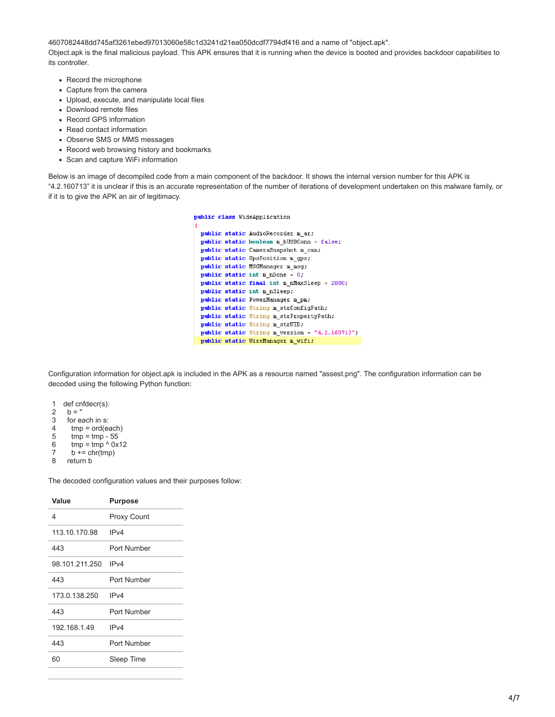4607082448dd745af3261ebed97013060e58c1d3241d21ea050dcdf7794df416 and a name of "object.apk". Object.apk is the final malicious payload. This APK ensures that it is running when the device is booted and provides backdoor capabilities to its controller.

- Record the microphone
- Capture from the camera
- Upload, execute, and manipulate local files
- Download remote files
- Record GPS information
- Read contact information
- Observe SMS or MMS messages
- Record web browsing history and bookmarks
- Scan and capture WiFi information

Below is an image of decompiled code from a main component of the backdoor. It shows the internal version number for this APK is "4.2.160713" it is unclear if this is an accurate representation of the number of iterations of development undertaken on this malware family, or if it is to give the APK an air of legitimacy.

public class WideApplication

```
public static AudioRecorder m_ar;
public static hoolean m_bUSBConn = false;
public static CameraSnapshot m_cam;
public static GpsPosition m_gps;
public static MSGManager m msg;
public static int m_nDone = 0.
public static final int m_nMaxSleep = 2880;
public static int m_nSleep;
public static PowerManager m_pm;
public static String m_strConfigPath;
public static String m_strPropertyPath;
public static String m_strUID;
public static String m_version = "4.2.160713";
public static WireManager m_wifi;
```
Configuration information for object.apk is included in the APK as a resource named "assest.png". The configuration information can be decoded using the following Python function:

1 def cnfdecr(s): 2 3 4 5 6 7  $b = "$  for each in s: tmp = ord(each)  $tmp = tmp - 55$  $tmp = tmp \land 0x12$  $b \leftarrow \text{chr}(\text{tmp})$ 

8 return b

The decoded configuration values and their purposes follow:

| Value          | <b>Purpose</b>     |
|----------------|--------------------|
| 4              | <b>Proxy Count</b> |
| 113.10.170.98  | IPv4               |
| 443            | Port Number        |
| 98.101.211.250 | IP <sub>v4</sub>   |
| 443            | Port Number        |
| 173 0 138 250  | IPv4               |
| 443            | Port Number        |
| 192 168 1 49   | IP <sub>V</sub> 4  |
| 443            | Port Number        |
| 60             | Sleep Time         |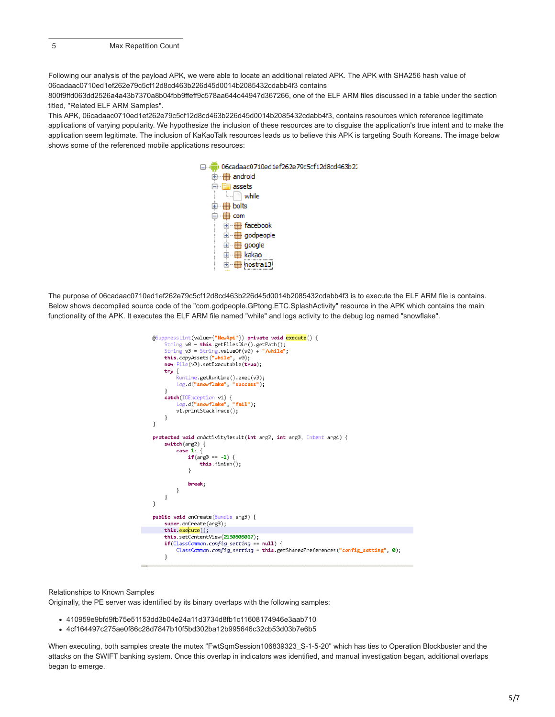Following our analysis of the payload APK, we were able to locate an additional related APK. The APK with SHA256 hash value of 06cadaac0710ed1ef262e79c5cf12d8cd463b226d45d0014b2085432cdabb4f3 contains

800f9ffd063dd2526a4a43b7370a8b04fbb9ffeff9c578aa644c44947d367266, one of the ELF ARM files discussed in a table under the section titled, "Related ELF ARM Samples".

This APK, 06cadaac0710ed1ef262e79c5cf12d8cd463b226d45d0014b2085432cdabb4f3, contains resources which reference legitimate applications of varying popularity. We hypothesize the inclusion of these resources are to disguise the application's true intent and to make the application seem legitimate. The inclusion of KaKaoTalk resources leads us to believe this APK is targeting South Koreans. The image below shows some of the referenced mobile applications resources:



The purpose of 06cadaac0710ed1ef262e79c5cf12d8cd463b226d45d0014b2085432cdabb4f3 is to execute the ELF ARM file is contains. Below shows decompiled source code of the "com.godpeople.GPtong.ETC.SplashActivity" resource in the APK which contains the main functionality of the APK. It executes the ELF ARM file named "while" and logs activity to the debug log named "snowflake".



Relationships to Known Samples

Originally, the PE server was identified by its binary overlaps with the following samples:

- 410959e9bfd9fb75e51153dd3b04e24a11d3734d8fb1c11608174946e3aab710
- 4cf164497c275ae0f86c28d7847b10f5bd302ba12b995646c32cb53d03b7e6b5

When executing, both samples create the mutex "FwtSqmSession106839323\_S-1-5-20" which has ties to Operation Blockbuster and the attacks on the SWIFT banking system. Once this overlap in indicators was identified, and manual investigation began, additional overlaps began to emerge.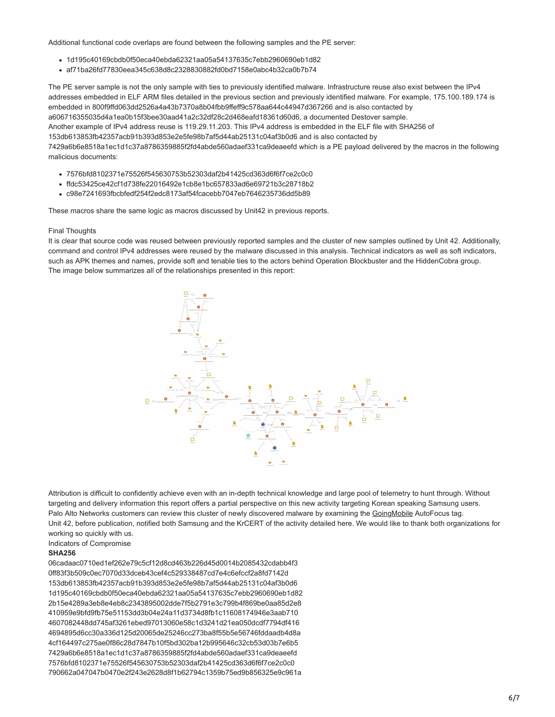Additional functional code overlaps are found between the following samples and the PE server:

- 1d195c40169cbdb0f50eca40ebda62321aa05a54137635c7ebb2960690eb1d82
- af71ba26fd77830eea345c638d8c2328830882fd0bd7158e0abc4b32ca0b7b74

The PE server sample is not the only sample with ties to previously identified malware. Infrastructure reuse also exist between the IPv4 addresses embedded in ELF ARM files detailed in the previous section and previously identified malware. For example, 175.100.189.174 is embedded in 800f9ffd063dd2526a4a43b7370a8b04fbb9ffeff9c578aa644c44947d367266 and is also contacted by a606716355035d4a1ea0b15f3bee30aad41a2c32df28c2d468eafd18361d60d6, a documented Destover sample. Another example of IPv4 address reuse is 119.29.11.203. This IPv4 address is embedded in the ELF file with SHA256 of 153db613853fb42357acb91b393d853e2e5fe98b7af5d44ab25131c04af3b0d6 and is also contacted by 7429a6b6e8518a1ec1d1c37a8786359885f2fd4abde560adaef331ca9deaeefd which is a PE payload delivered by the macros in the following malicious documents:

- 7576bfd8102371e75526f545630753b52303daf2b41425cd363d6f6f7ce2c0c0
- ffdc53425ce42cf1d738fe22016492e1cb8e1bc657833ad6e69721b3c28718b2
- c98e7241693fbcbfedf254f2edc8173af54fcacebb7047eb7646235736dd5b89

These macros share the same logic as macros discussed by Unit42 in previous reports.

#### Final Thoughts

It is clear that source code was reused between previously reported samples and the cluster of new samples outlined by Unit 42. Additionally, command and control IPv4 addresses were reused by the malware discussed in this analysis. Technical indicators as well as soft indicators, such as APK themes and names, provide soft and tenable ties to the actors behind Operation Blockbuster and the HiddenCobra group. The image below summarizes all of the relationships presented in this report:



Attribution is difficult to confidently achieve even with an in-depth technical knowledge and large pool of telemetry to hunt through. Without targeting and delivery information this report offers a partial perspective on this new activity targeting Korean speaking Samsung users. Palo Alto Networks customers can review this cluster of newly discovered malware by examining the [GoingMobile](https://autofocus.paloaltonetworks.com/) AutoFocus tag. Unit 42, before publication, notified both Samsung and the KrCERT of the activity detailed here. We would like to thank both organizations for working so quickly with us.

Indicators of Compromise

## **SHA256**

06cadaac0710ed1ef262e79c5cf12d8cd463b226d45d0014b2085432cdabb4f3 0ff83f3b509c0ec7070d33dceb43cef4c529338487cd7e4c6efccf2a8fd7142d 153db613853fb42357acb91b393d853e2e5fe98b7af5d44ab25131c04af3b0d6 1d195c40169cbdb0f50eca40ebda62321aa05a54137635c7ebb2960690eb1d82 2b15e4289a3eb8e4eb8c2343895002dde7f5b2791e3c799b4f869be0aa85d2e8 410959e9bfd9fb75e51153dd3b04e24a11d3734d8fb1c11608174946e3aab710 4607082448dd745af3261ebed97013060e58c1d3241d21ea050dcdf7794df416 4694895d6cc30a336d125d20065de25246cc273ba8f55b5e56746fddaadb4d8a 4cf164497c275ae0f86c28d7847b10f5bd302ba12b995646c32cb53d03b7e6b5 7429a6b6e8518a1ec1d1c37a8786359885f2fd4abde560adaef331ca9deaeefd 7576bfd8102371e75526f545630753b52303daf2b41425cd363d6f6f7ce2c0c0 790662a047047b0470e2f243e2628d8f1b62794c1359b75ed9b856325e9c961a